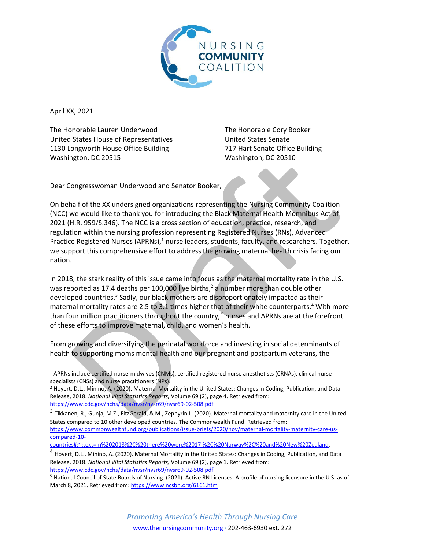

April XX, 2021

The Honorable Lauren Underwood United States House of Representatives 1130 Longworth House Office Building Washington, DC 20515

The Honorable Cory Booker United States Senate 717 Hart Senate Office Building Washington, DC 20510

Dear Congresswoman Underwood and Senator Booker,

On behalf of the XX undersigned organizations representing the Nursing Community Coalition (NCC) we would like to thank you for introducing the Black Maternal Health Momnibus Act of 2021 (H.R. 959/S.346). The NCC is a cross section of education, practice, research, and regulation within the nursing profession representing Registered Nurses (RNs), Advanced Practice Registered Nurses  $(APRNs)^1$  nurse leaders, students, faculty, and researchers. Together, we support this comprehensive effort to address the growing maternal health crisis facing our nation.

In 2018, the stark reality of this issue came into focus as the maternal mortality rate in the U.S. was reported as 17.4 deaths per 100,000 live births,<sup>2</sup> a number more than double other developed countries.<sup>3</sup> Sadly, our black mothers are disproportionately impacted as their maternal mortality rates are 2.5 to 3.1 times higher that of their white counterparts.<sup>4</sup> With more than four million practitioners throughout the country,  $5$  nurses and APRNs are at the forefront of these efforts to improve maternal, child, and women's health.

From growing and diversifying the perinatal workforce and investing in social determinants of health to supporting moms mental health and our pregnant and postpartum veterans, the

<sup>1</sup> APRNs include certified nurse-midwives (CNMs), certified registered nurse anesthetists (CRNAs), clinical nurse specialists (CNSs) and nurse practitioners (NPs).

<sup>2</sup> Hoyert, D.L., Minino, A. (2020). Maternal Mortality in the United States: Changes in Coding, Publication, and Data Release, 2018. *National Vital Statistics Reports,* Volume 69 (2), page 4. Retrieved from: <https://www.cdc.gov/nchs/data/nvsr/nvsr69/nvsr69-02-508.pdf>

<sup>&</sup>lt;sup>3</sup> Tikkanen, R., Gunja, M.Z., FitzGerald, & M., Zephyrin L. (2020). Maternal mortality and maternity care in the United States compared to 10 other developed countries. The Commonwealth Fund. Retrieved from: [https://www.commonwealthfund.org/publications/issue-briefs/2020/nov/maternal-mortality-maternity-care-us](https://www.commonwealthfund.org/publications/issue-briefs/2020/nov/maternal-mortality-maternity-care-us-compared-10-countries#:~:text=In%202018%2C%20there%20were%2017,%2C%20Norway%2C%20and%20New%20Zealand)[compared-10-](https://www.commonwealthfund.org/publications/issue-briefs/2020/nov/maternal-mortality-maternity-care-us-compared-10-countries#:~:text=In%202018%2C%20there%20were%2017,%2C%20Norway%2C%20and%20New%20Zealand)

[countries#:~:text=In%202018%2C%20there%20were%2017,%2C%20Norway%2C%20and%20New%20Zealand.](https://www.commonwealthfund.org/publications/issue-briefs/2020/nov/maternal-mortality-maternity-care-us-compared-10-countries#:~:text=In%202018%2C%20there%20were%2017,%2C%20Norway%2C%20and%20New%20Zealand) 

<sup>4</sup> Hoyert, D.L., Minino, A. (2020). Maternal Mortality in the United States: Changes in Coding, Publication, and Data Release, 2018. *National Vital Statistics Reports,* Volume 69 (2), page 1. Retrieved from: <https://www.cdc.gov/nchs/data/nvsr/nvsr69/nvsr69-02-508.pdf>

<sup>5</sup> National Council of State Boards of Nursing. (2021). Active RN Licenses: A profile of nursing licensure in the U.S. as of March 8, 2021. Retrieved from[: https://www.ncsbn.org/6161.htm](https://www.ncsbn.org/6161.htm)